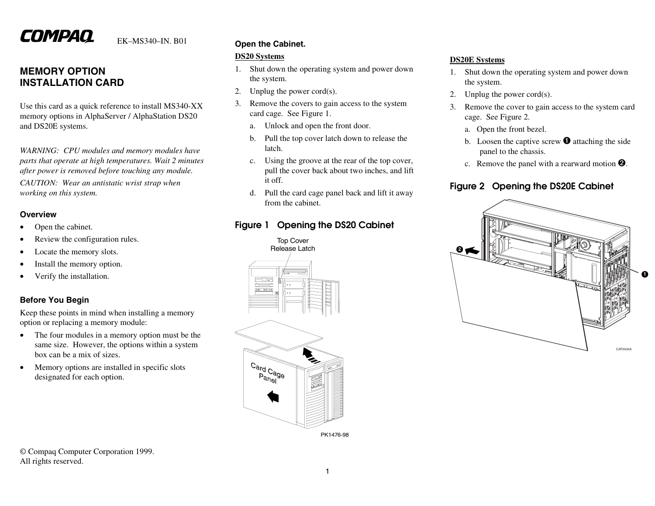# COMPAQ

EK–MS340–IN. B01

### **MEMORY OPTIONINSTALLATION CARD**

Use this card as a quick reference to install MS340-XX memory options in AlphaServer / AlphaStation DS20 and DS20E systems.

*WARNING: CPU modules and memory modules have parts that operate at high temperatures. Wait 2 minutes after power is removed before touching any module.*

*CAUTION: Wear an antistatic wrist strap when working on this system.*

### **Overview**

- •Open the cabinet.
- •Review the configuration rules.
- •Locate the memory slots.
- •Install the memory option.
- •Verify the installation.

### **Before You Begin**

Keep these points in mind when installing a memory option or replacing a memory module:

- • The four modules in a memory option must be the same size. However, the options within a system box can be a mix of sizes.
- • Memory options are installed in specific slots designated for each option.

### **Open the Cabinet.**

### **DS20 Systems**

- 1. Shut down the operating system and power down the system.
- 2.Unplug the power cord(s).
- 3. Remove the covers to gain access to the system card cage. See Figure 1.
	- a.Unlock and open the front door.
	- b. Pull the top cover latch down to release the latch.
	- c. Using the groove at the rear of the top cover, pull the cover back about two inches, and lift it off.
	- d. Pull the card cage panel back and lift it away from the cabinet.

### **Figure 1 Opening the DS20 Cabinet**



### **DS20E Systems**

- 1. Shut down the operating system and power down the system.
- 2.Unplug the power cord(s).
- 3. Remove the cover to gain access to the system card cage. See Figure 2.
	- a. Open the front bezel.
	- b. Loosen the captive screw  $\bullet$  attaching the side panel to the chassis.
	- c. Remove the panel with a rearward motion  $\mathbf{\Theta}$ .

### **Figure 2 Opening the DS20E Cabinet**



© Compaq Computer Corporation 1999. All rights reserved.